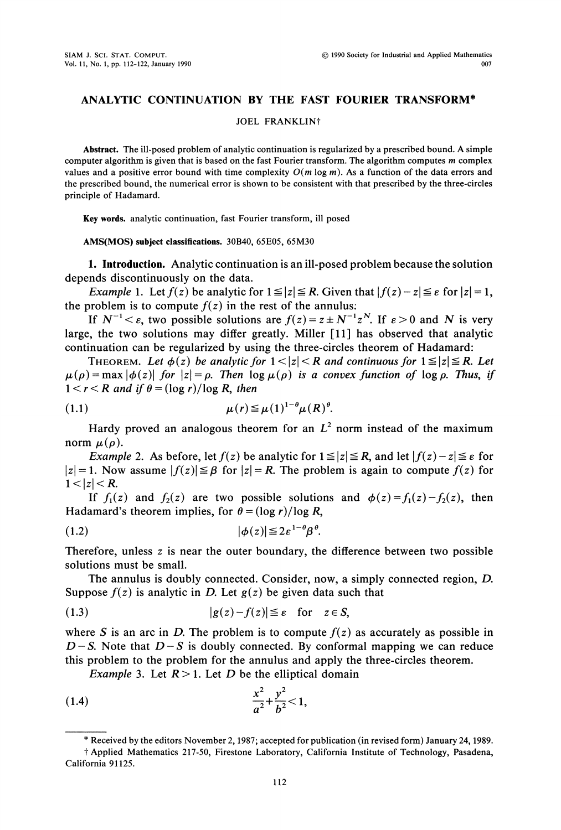# ANALYTIC CONTINUATION BY THE FAST FOURIER TRANSFORM\*

## JOEL FRANKLIN'

Abstract. The ill-posed problem of analytic continuation is regularized by <sup>a</sup> prescribed bound. A simple computer algorithm is given that is based on the fast Fourier transform. The algorithm computes m complex values and a positive error bound with time complexity  $O(m \log m)$ . As a function of the data errors and the prescribed bound, the numerical error is shown to be consistent with that prescribed by the three-circles principle of Hadamard.

Key words, analytic continuation, fast Fourier transform, ill posed

## AMS(MOS) subject classifications. 30B40, 65E05, 65M30

1. Introduction. Analytic continuation is an ill-posed problem because the solution depends discontinuously on the data.

*Example 1.* Let  $f(z)$  be analytic for  $1 \le |z| \le R$ . Given that  $|f(z) - z| \le \varepsilon$  for  $|z| = 1$ , the problem is to compute  $f(z)$  in the rest of the annulus:

If  $N^{-1} < \varepsilon$ , two possible solutions are  $f(z) = z \pm N^{-1}z^N$ . If  $\varepsilon > 0$  and N is very large, the two solutions may differ greatly. Miller [11] has observed that analytic continuation can be regularized by using the three-circles theorem of Hadamard:

THEOREM. Let  $\phi(z)$  be analytic for  $1 < |z| < R$  and continuous for  $1 \le |z| \le R$ . Let  $\mu(\rho) = \max |\phi(z)|$  for  $|z| = \rho$ . Then  $\log \mu(\rho)$  is a convex function of  $\log \rho$ . Thus, if  $1 < r < R$  and if  $\theta = (\log r)/\log R$ , then

$$
\mu(r) \leq \mu(1)^{1-\theta} \mu(R)^{\theta}.
$$

Hardy proved an analogous theorem for an  $L^2$  norm instead of the maximum norm  $\mu(\rho)$ .

*Example 2.* As before, let  $f(z)$  be analytic for  $1 \le |z| \le R$ , and let  $|f(z) - z| \le \varepsilon$  for  $|z| = 1$ . Now assume  $|f(z)| \leq \beta$  for  $|z| = R$ . The problem is again to compute  $f(z)$  for  $1<|z|< R$ .

If  $f_1(z)$  and  $f_2(z)$  are two possible solutions and  $\phi(z) = f_1(z) - f_2(z)$ , then Hadamard's theorem implies, for  $\theta = (\log r)/\log R$ ,

$$
(1.2) \t\t\t |\t\phi(z)| \leq 2\varepsilon^{1-\theta} \beta^{\theta}.
$$

Therefore, unless z is near the outer boundary, the difference between two possible solutions must be small.

The annulus is doubly connected. Consider, now, a simply connected region, D. Suppose  $f(z)$  is analytic in D. Let  $g(z)$  be given data such that

(1.3) 
$$
|g(z)-f(z)| \leq \varepsilon \quad \text{for} \quad z \in S,
$$

where S is an arc in D. The problem is to compute  $f(z)$  as accurately as possible in  $D-S$ . Note that  $D-S$  is doubly connected. By conformal mapping we can reduce this problem to the problem for the annulus and apply the three-circles theorem.

*Example* 3. Let  $R > 1$ . Let D be the elliptical domain

(1.4) 
$$
\frac{x^2}{a^2} + \frac{y^2}{b^2} < 1,
$$

<sup>\*</sup> Received by the editors November 2, 1987; accepted for publication (in revised form) January 24, 1989.

<sup>?</sup> Applied Mathematics 217-50, Firestone Laboratory, California Institute of Technology, Pasadena, California 91125.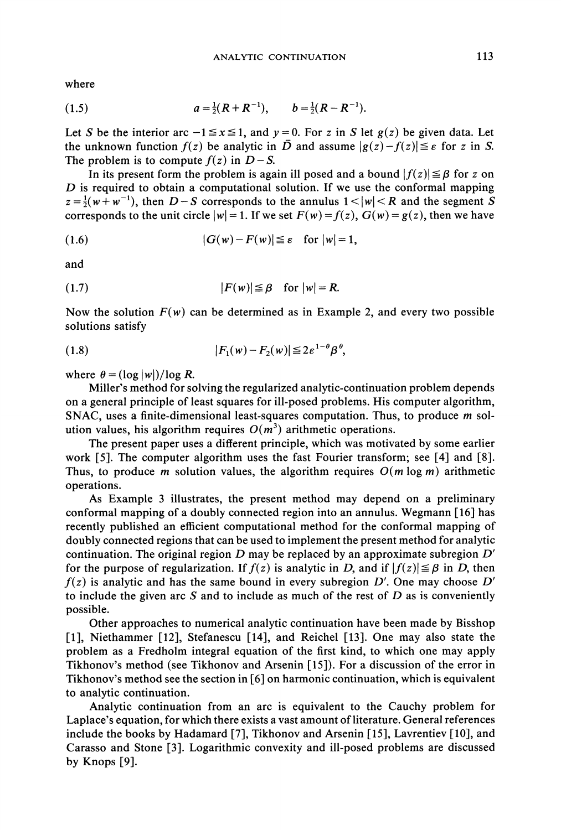where

(1.5) 
$$
a = \frac{1}{2}(R + R^{-1}), \qquad b = \frac{1}{2}(R - R^{-1}).
$$

Let S be the interior arc  $-1 \le x \le 1$ , and  $y = 0$ . For z in S let  $g(z)$  be given data. Let the unknown function  $f(z)$  be analytic in  $\overline{D}$  and assume  $|g(z)-f(z)| \leq \varepsilon$  for z in S. The problem is to compute  $f(z)$  in  $D-S$ .

In its present form the problem is again ill posed and a bound  $|f(z)| \leq \beta$  for z on  $D$  is required to obtain a computational solution. If we use the conformal mapping  $z=\frac{1}{2}(w+w^{-1})$ , then  $D-S$  corresponds to the annulus  $1<|w|< R$  and the segment S corresponds to the unit circle  $|w|=1$ . If we set  $F(w)=f(z)$ ,  $G(w)=g(z)$ , then we have

$$
(1.6) \t |G(w)-F(w)| \leq \varepsilon \quad \text{for } |w|=1,
$$

and

$$
(1.7) \t\t\t |F(w)| \leq \beta \t for |w| = R.
$$

Now the solution  $F(w)$  can be determined as in Example 2, and every two possible solutions satisfy

$$
(1.8) \t\t\t\t |F_1(w)-F_2(w)| \leq 2\varepsilon^{1-\theta}\beta^{\theta},
$$

where  $\theta = (\log |w|)/\log R$ .

Miller's method for solving the regularized analytic-continuation problem depends on a general principle of least squares for ill-posed problems. His computer algorithm, SNAC, uses a finite-dimensional least-squares computation. Thus, to produce  $m$  solution values, his algorithm requires  $O(m^3)$  arithmetic operations.

The present paper uses a different principle, which was motivated by some earlier work [5]. The computer algorithm uses the fast Fourier transform; see [4] and [8]. Thus, to produce m solution values, the algorithm requires  $O(m \log m)$  arithmetic operations.

As Example <sup>3</sup> illustrates, the present method may depend on a preliminary conformal mapping of a doubly connected region into an annulus. Wegmann  $[16]$  has recently published an efficient computational method for the conformal mapping of doubly connected regions that can be used to implement the present method for analytic continuation. The original region  $D$  may be replaced by an approximate subregion  $D'$ for the purpose of regularization. If  $f(z)$  is analytic in D, and if  $|f(z)| \leq \beta$  in D, then  $f(z)$  is analytic and has the same bound in every subregion D'. One may choose D' to include the given arc S and to include as much of the rest of  $D$  as is conveniently possible.

Other approaches to numerical analytic continuation have been made by Bisshop [1], Niethammer [12], Stefanescu [14], and Reichel [13]. One may also state the problem as a Fredholm integral equation of the first kind, to which one may apply Tikhonov's method (see Tikhonov and Arsenin 15]). For a discussion of the error in Tikhonov's method see the section in [6] on harmonic continuation, which is equivalent to analytic continuation.

Analytic continuation from an arc is equivalent to the Cauchy problem for Laplace's equation, for which there exists a vast amount of literature. General references include the books by Hadamard [7], Tikhonov and Arsenin [15], Lavrentiev [10], and Carasso and Stone [3]. Logarithmic convexity and ill-posed problems are discussed by Knops [9].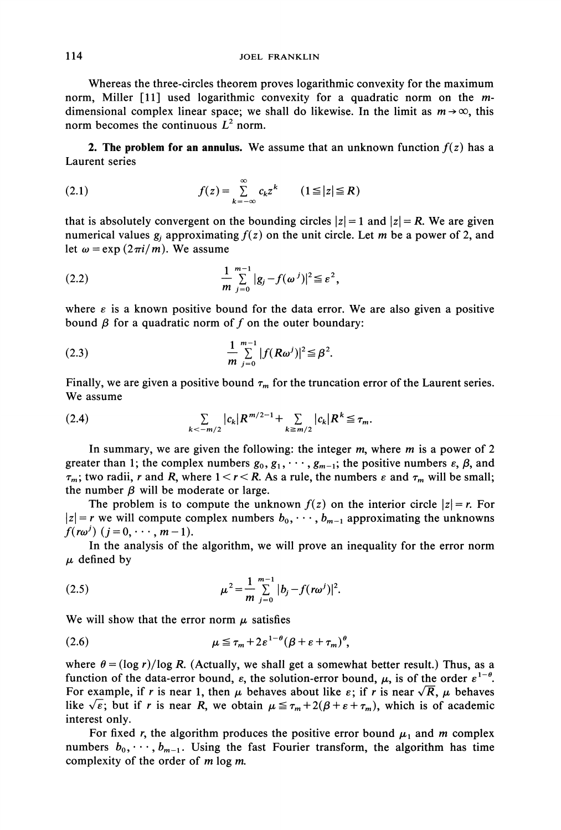Whereas the three-circles theorem proves logarithmic convexity for the maximum norm, Miller [11] used logarithmic convexity for a quadratic norm on the mdimensional complex linear space; we shall do likewise. In the limit as  $m \rightarrow \infty$ , this norm becomes the continuous  $L^2$  norm.

**2. The problem for an annulus.** We assume that an unknown function  $f(z)$  has a Laurent series

(2.1) 
$$
f(z) = \sum_{k=-\infty}^{\infty} c_k z^k \qquad (1 \leq |z| \leq R)
$$

that is absolutely convergent on the bounding circles  $|z| = 1$  and  $|z| = R$ . We are given numerical values  $g_i$  approximating  $f(z)$  on the unit circle. Let m be a power of 2, and let  $\omega = \exp(2\pi i/m)$ . We assume

(2.2) 
$$
\frac{1}{m} \sum_{j=0}^{m-1} |g_j - f(\omega^j)|^2 \leq \varepsilon^2,
$$

where  $\varepsilon$  is a known positive bound for the data error. We are also given a positive bound  $\beta$  for a quadratic norm of f on the outer boundary:

(2.3) 
$$
\frac{1}{m} \sum_{j=0}^{m-1} |f(R\omega^j)|^2 \leq \beta^2.
$$

Finally, we are given a positive bound  $\tau_m$  for the truncation error of the Laurent series. We assume

(2.4) 
$$
\sum_{k < -m/2} |c_k| R^{m/2 - 1} + \sum_{k \ge m/2} |c_k| R^k \le \tau_m.
$$

In summary, we are given the following: the integer  $m$ , where  $m$  is a power of 2 greater than 1; the complex numbers  $g_0, g_1, \dots, g_{m-1}$ ; the positive numbers  $\varepsilon$ ,  $\beta$ , and  $\tau_m$ ; two radii, r and R, where  $1 < r < R$ . As a rule, the numbers  $\varepsilon$  and  $\tau_m$  will be small; the number  $\beta$  will be moderate or large.

The problem is to compute the unknown  $f(z)$  on the interior circle  $|z| = r$ . For  $|z| = r$  we will compute complex numbers  $b_0, \dots, b_{m-1}$  approximating the unknowns  $f(r\omega^j)$   $(j = 0, \cdots, m-1).$ 

In the analysis of the algorithm, we will prove an inequality for the error norm  $\mu$  defined by

(2.5) 
$$
\mu^2 = \frac{1}{m} \sum_{j=0}^{m-1} |b_j - f(r\omega^j)|^2.
$$

We will show that the error norm  $\mu$  satisfies

(2.6) 
$$
\mu \leq \tau_m + 2\varepsilon^{1-\theta} (\beta + \varepsilon + \tau_m)^{\theta},
$$

where  $\theta = (\log r)/\log R$ . (Actually, we shall get a somewhat better result.) Thus, as a function of the data-error bound,  $\varepsilon$ , the solution-error bound,  $\mu$ , is of the order  $\varepsilon^{1-\theta}$ . For example, if r is near 1, then  $\mu$  behaves about like  $\varepsilon$ ; if r is near  $\sqrt{R}$ ,  $\mu$  behaves like  $\sqrt{\epsilon}$ ; but if r is near R, we obtain  $\mu \leq \tau_m + 2(\beta + \epsilon + \tau_m)$ , which is of academic interest only.

For fixed r, the algorithm produces the positive error bound  $\mu_1$  and m complex numbers  $b_0, \dots, b_{m-1}$ . Using the fast Fourier transform, the algorithm has time complexity of the order of  $m \log m$ .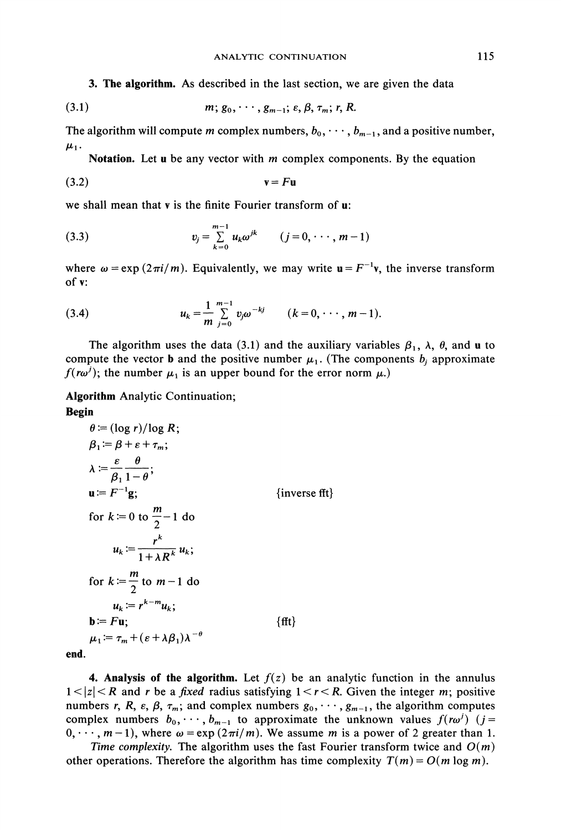3. The algorithm. As described in the last section, we are given the data

$$
(3.1) \t m; g_0, \cdots, g_{m-1}; \varepsilon, \beta, \tau_m; r, R.
$$

The algorithm will compute m complex numbers,  $b_0, \dots, b_{m-1}$ , and a positive number,  $\mu_1$ .

Notation. Let  $u$  be any vector with  $m$  complex components. By the equation

$$
(3.2) \t\t\t\t\tv = Fu
$$

we shall mean that <sup>v</sup> is the finite Fourier transform of u:

(3.3) 
$$
v_j = \sum_{k=0}^{m-1} u_k \omega^{jk} \qquad (j = 0, \cdots, m-1)
$$

where  $\omega = \exp(2\pi i/m)$ . Equivalently, we may write  $\mathbf{u} = F^{-1}\mathbf{v}$ , the inverse transform of v:

(3.4) 
$$
u_k = \frac{1}{m} \sum_{j=0}^{m-1} v_j \omega^{-kj} \qquad (k = 0, \cdots, m-1).
$$

The algorithm uses the data (3.1) and the auxiliary variables  $\beta_1$ ,  $\lambda$ ,  $\theta$ , and u to compute the vector **b** and the positive number  $\mu_1$ . (The components  $b_j$  approximate  $f(r\omega^j)$ ; the number  $\mu_1$  is an upper bound for the error norm  $\mu$ .)

Algorithm Analytic Continuation;

## Begin

$$
\theta := (\log r)/\log R; \n\beta_1 := \beta + \varepsilon + \tau_m; \n\lambda := \frac{\varepsilon}{\beta_1} \frac{\theta}{1 - \theta}; \n\mathbf{u} := F^{-1}\mathbf{g}; \qquad \text{{inverse fft}} \n\text{for } k := 0 \text{ to } \frac{m}{2} - 1 \text{ do} \n\mu_k := \frac{r^k}{1 + \lambda R^k} \mu_k; \n\text{for } k := \frac{m}{2} \text{ to } m - 1 \text{ do} \n\mu_k := r^{k-m} \mu_k; \n\mathbf{b} := F \mathbf{u}; \qquad \text{{fft}}
$$

end.

**4. Analysis of the algorithm.** Let  $f(z)$  be an analytic function in the annulus  $1 < |z| < R$  and r be a fixed radius satisfying  $1 < r < R$ . Given the integer m; positive numbers r, R,  $\varepsilon$ ,  $\beta$ ,  $\tau_m$ ; and complex numbers  $g_0, \dots, g_{m-1}$ , the algorithm computes complex numbers  $b_0, \dots, b_{m-1}$  to approximate the unknown values  $f(r\omega^j)$  (j=  $0, \dots, m-1$ , where  $\omega = \exp(2\pi i/m)$ . We assume m is a power of 2 greater than 1.

Time complexity. The algorithm uses the fast Fourier transform twice and  $O(m)$ other operations. Therefore the algorithm has time complexity  $T(m) = O(m \log m)$ .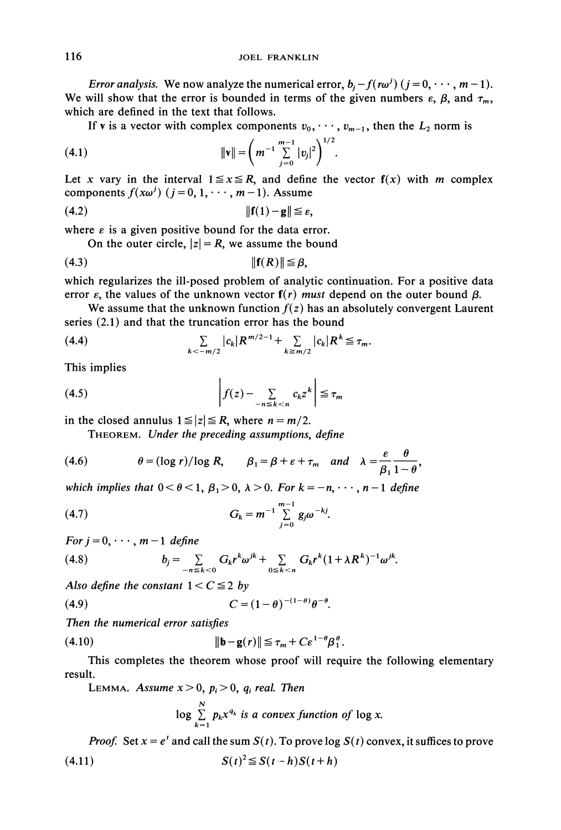*Error analysis.* We now analyze the numerical error,  $b_i - f(r\omega^j)$  ( $j = 0, \dots, m - 1$ ). We will show that the error is bounded in terms of the given numbers  $\varepsilon$ ,  $\beta$ , and  $\tau_m$ , which are defined in the text that follows.

If v is a vector with complex components  $v_0, \dots, v_{m-1}$ , then the  $L_2$  norm is

(4.1) 
$$
\|\mathbf{v}\| = \left(m^{-1} \sum_{j=0}^{m-1} |v_j|^2\right)^{1/2}
$$

Let x vary in the interval  $1 \le x \le R$ , and define the vector  $f(x)$  with m complex components  $f(x\omega^j)$  ( $j = 0, 1, \dots, m-1$ ). Assume

(4.2) Ilf(1) -gl[ e,

where  $\varepsilon$  is a given positive bound for the data error.

On the outer circle,  $|z| = R$ , we assume the bound

(4.3) IIF(R)II

which regularizes the ill-posed problem of analytic continuation. For a positive data error  $\varepsilon$ , the values of the unknown vector  $f(r)$  must depend on the outer bound  $\beta$ .

We assume that the unknown function  $f(z)$  has an absolutely convergent Laurent series (2.1) and that the truncation error has the bound

(4.4) 
$$
\sum_{k < -m/2} |c_k| R^{m/2 - 1} + \sum_{k \ge m/2} |c_k| R^k \le \tau_m.
$$

This implies

$$
(4.5) \t\t\t\t\t f(z) - \sum_{-n \le k < n} c_k z^k \le \tau_m
$$

in the closed annulus  $1 \le |z| \le R$ , where  $n = m/2$ .

THEOREM. Under the preceding assumptions, define

(4.6) 
$$
\theta = (\log r)/\log R, \qquad \beta_1 = \beta + \varepsilon + \tau_m \quad and \quad \lambda = \frac{\varepsilon}{\beta_1} \frac{\theta}{1-\theta},
$$

which implies that  $0 < \theta < 1$ ,  $\beta_1 > 0$ ,  $\lambda > 0$ . For  $k = -n, \dots, n-1$  define

(4.7) 
$$
G_k = m^{-1} \sum_{j=0}^{m-1} g_j \omega^{-kj}.
$$

For  $j = 0, \dots, m-1$  define

(4.8) 
$$
b_j = \sum_{-n \le k < 0} G_k r^k \omega^{jk} + \sum_{0 \le k < n} G_k r^k (1 + \lambda R^k)^{-1} \omega^{jk}.
$$

Also define the constant  $1 < C \leq 2$  by

$$
(4.9) \tC = (1-\theta)^{-(1-\theta)}\theta^{-\theta}.
$$

Then the numerical error satisfies

(4.10) lib-g(r)ll 'l'm + cEl-[l

This completes the theorem whose proof will require the following elementary result.

LEMMA. Assume  $x > 0$ ,  $p_i > 0$ ,  $q_i$  real. Then

$$
\log \sum_{k=1}^{N} p_k x^{q_k} \text{ is a convex function of } \log x.
$$

*Proof.* Set  $x = e^t$  and call the sum  $S(t)$ . To prove log  $S(t)$  convex, it suffices to prove (4.11)  $S(t)^2 \le S(t-h)S(t+h)$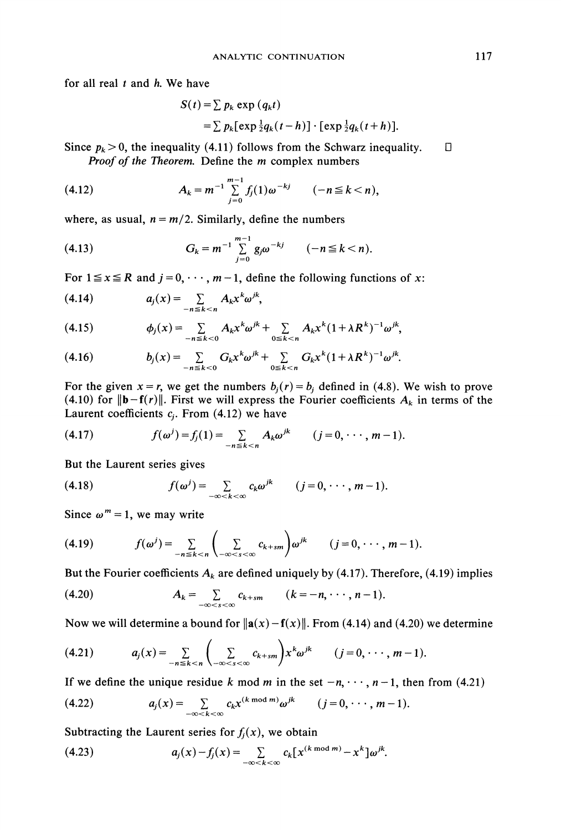for all real  $t$  and  $h$ . We have

$$
S(t) = \sum p_k \exp (q_k t)
$$
  
= 
$$
\sum p_k [\exp \frac{1}{2}q_k(t-h)] \cdot [\exp \frac{1}{2}q_k(t+h)].
$$

Since  $p_k > 0$ , the inequality (4.11) follows from the Schwarz inequality.  $\Box$ Proof of the Theorem. Define the *m* complex numbers

(4.12) 
$$
A_k = m^{-1} \sum_{j=0}^{m-1} f_j(1) \omega^{-kj} \qquad (-n \leq k < n),
$$

where, as usual,  $n = m/2$ . Similarly, define the numbers

(4.13) 
$$
G_k = m^{-1} \sum_{j=0}^{m-1} g_j \omega^{-kj} \qquad (-n \leq k < n).
$$

For  $1 \le x \le R$  and  $j = 0, \dots, m-1$ , define the following functions of x:

$$
(4.14) \t a_j(x) = \sum_{-n \leq k < n} A_k x^k \omega^{jk},
$$

$$
(4.15) \t\t \t\t \phi_j(x) = \sum_{-n \le k < 0} A_k x^k \omega^{jk} + \sum_{0 \le k < n} A_k x^k (1 + \lambda R^k)^{-1} \omega^{jk},
$$

(4.16) 
$$
b_j(x) = \sum_{-n \leq k < 0} G_k x^k \omega^{jk} + \sum_{0 \leq k < n} G_k x^k (1 + \lambda R^k)^{-1} \omega^{jk}.
$$

For the given  $x = r$ , we get the numbers  $b_j(r) = b_j$  defined in (4.8). We wish to prove (4.10) for  $\|\mathbf{b}-\mathbf{f}(r)\|$ . First we will express the Fourier coefficients  $A_k$  in terms of the Laurent coefficients  $c_i$ . From (4.12) we have

(4.17) 
$$
f(\omega^j) = f_j(1) = \sum_{-n \le k < n} A_k \omega^{jk} \qquad (j = 0, \cdots, m-1).
$$

But the Laurent series gives

(4.18) 
$$
f(\omega^j) = \sum_{-\infty < k < \infty} c_k \omega^{jk} \qquad (j = 0, \cdots, m-1).
$$

Since  $\omega^m = 1$ , we may write

$$
(4.19) \t f(\omega^j) = \sum_{-n \leq k < n} \left( \sum_{-\infty < s < \infty} c_{k+sm} \right) \omega^{jk} \t (j = 0, \cdots, m-1).
$$

But the Fourier coefficients  $A_k$  are defined uniquely by (4.17). Therefore, (4.19) implies

(4.20) 
$$
A_k = \sum_{-\infty < s < \infty} c_{k+sm} \qquad (k = -n, \cdots, n-1).
$$

Now we will determine a bound for  $\|\mathbf{a}(x)-\mathbf{f}(x)\|$ . From (4.14) and (4.20) we determine

$$
(4.21) \t a_j(x) = \sum_{-n \leq k < n} \left( \sum_{-\infty < s < \infty} c_{k+sm} \right) x^k \omega^{jk} \t (j = 0, \cdots, m-1).
$$

If we define the unique residue k mod m in the set  $-n, \dots, n-1$ , then from (4.21)

$$
(4.22) \t a_j(x) = \sum_{-\infty < k < \infty} c_k x^{(k \mod m)} \omega^{jk} \t (j = 0, \cdots, m-1).
$$

Subtracting the Laurent series for  $f_i(x)$ , we obtain

(4.23) 
$$
a_j(x) - f_j(x) = \sum_{-\infty < k < \infty} c_k [x^{(k \mod m)} - x^k] \omega^{jk}.
$$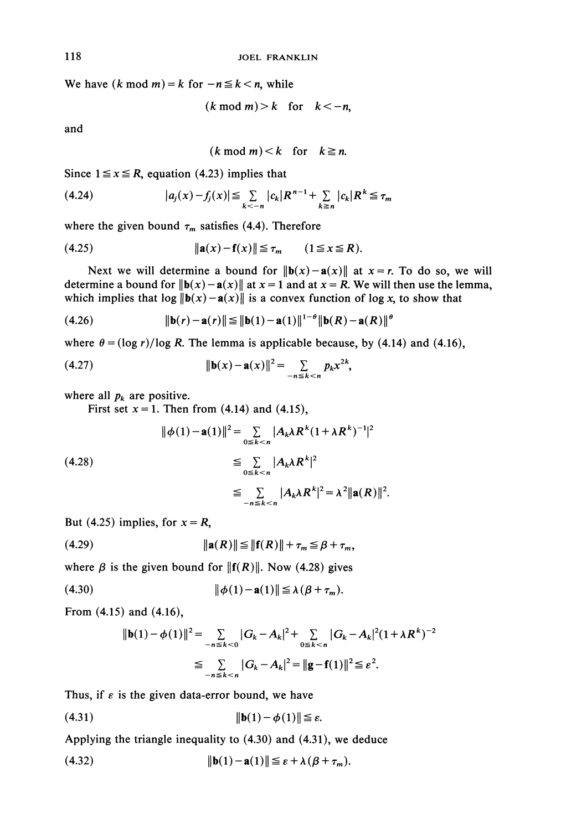We have  $(k \mod m) = k$  for  $-n \le k < n$ , while

$$
(k \bmod m) > k \quad \text{for} \quad k < -n,
$$

and

$$
(k \bmod m) < k \quad \text{for} \quad k \geq n.
$$

Since  $1 \le x \le R$ , equation (4.23) implies that

$$
(4.24) \t |a_j(x) - f_j(x)| \leq \sum_{k < -n} |c_k| R^{n-1} + \sum_{k \geq n} |c_k| R^k \leq \tau_m
$$

where the given bound  $\tau_m$  satisfies (4.4). Therefore

(4.25) 
$$
\|\mathbf{a}(x) - \mathbf{f}(x)\| \le \tau_m \qquad (1 \le x \le R).
$$

Next we will determine a bound for  $\|\mathbf{b}(x)-\mathbf{a}(x)\|$  at  $x=r$ . To do so, we will determine a bound for  $\|\mathbf{b}(x)-\mathbf{a}(x)\|$  at  $x=1$  and at  $x = R$ . We will then use the lemma, which implies that  $\log ||\mathbf{b}(x)-\mathbf{a}(x)||$  is a convex function of log x, to show that

(4.26) 
$$
\|\mathbf{b}(r) - \mathbf{a}(r)\| \le \|\mathbf{b}(1) - \mathbf{a}(1)\|^{1-\theta} \|\mathbf{b}(R) - \mathbf{a}(R)\|^6
$$

where  $\theta = (\log r)/\log R$ . The lemma is applicable because, by (4.14) and (4.16),

(4.27) 
$$
\|\mathbf{b}(x) - \mathbf{a}(x)\|^2 = \sum_{-n \le k < n} p_k x^{2k},
$$

where all  $p_k$  are positive.

First set  $x = 1$ . Then from (4.14) and (4.15),

$$
\|\phi(1) - \mathbf{a}(1)\|^2 = \sum_{0 \le k < n} |A_k \lambda R^k (1 + \lambda R^k)^{-1}|^2
$$
\n
$$
\le \sum_{0 \le k < n} |A_k \lambda R^k|^2
$$
\n
$$
\le \sum_{-n \le k < n} |A_k \lambda R^k|^2 = \lambda^2 \|\mathbf{a}(R)\|^2.
$$

But (4.25) implies, for  $x = R$ ,

(4.29) [la(R)[[ Ilf(R)l[ <sup>+</sup> z /3 <sup>+</sup> Zm,

where  $\beta$  is the given bound for  $||f(R)||$ . Now (4.28) gives

(4.30) ][b(1)-a(1)[] A(/3 + r).

From (4.15) and (4.16),

$$
||\mathbf{b}(1) - \phi(1)||^2 = \sum_{-n \le k < 0} |G_k - A_k|^2 + \sum_{0 \le k < n} |G_k - A_k|^2 (1 + \lambda R^k)^{-2}
$$
\n
$$
\le \sum_{-n \le k < n} |G_k - A_k|^2 = ||\mathbf{g} - \mathbf{f}(1)||^2 \le \varepsilon^2.
$$

Thus, if  $\varepsilon$  is the given data-error bound, we have

$$
(4.31) \t\t\t\t ||\mathbf{b}(1) - \boldsymbol{\phi}(1)|| \le \varepsilon.
$$

Applying the triangle inequality to (4.30) and (4.31), we deduce

(4.32) 
$$
\|\mathbf{b}(1)-\mathbf{a}(1)\| \leq \varepsilon + \lambda (\beta + \tau_m).
$$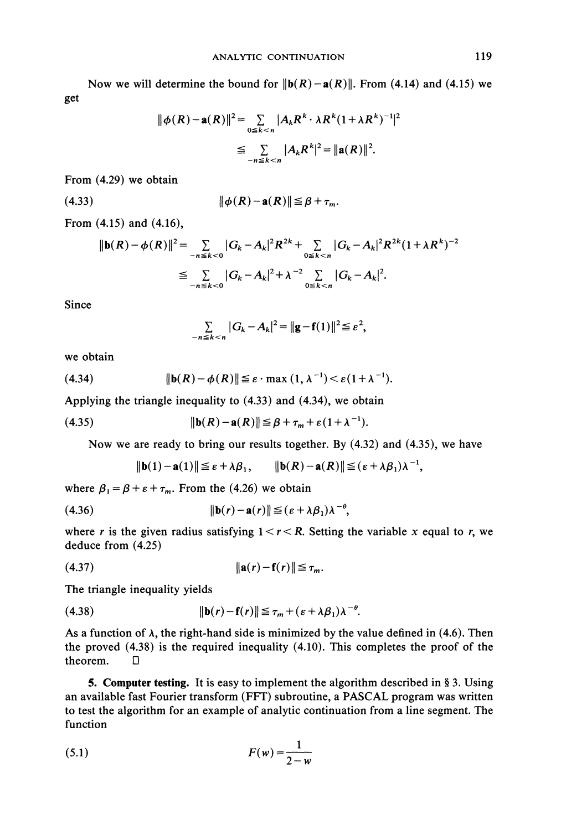get Now we will determine the bound for  $\|\mathbf{b}(R)-\mathbf{a}(R)\|$ . From (4.14) and (4.15) we

$$
\|\phi(R) - \mathbf{a}(R)\|^2 = \sum_{0 \le k < n} |A_k R^k \cdot \lambda R^k (1 + \lambda R^k)^{-1}|^2
$$
\n
$$
\le \sum_{-n \le k < n} |A_k R^k|^2 = \|\mathbf{a}(R)\|^2.
$$

From (4.29) we obtain

(4.33) II(R)-a(R)ll <sup>+</sup> .

From (4.15) and (4.16),

$$
\|\mathbf{b}(R) - \phi(R)\|^2 = \sum_{-n \le k < 0} |G_k - A_k|^2 R^{2k} + \sum_{0 \le k < n} |G_k - A_k|^2 R^{2k} (1 + \lambda R^k)^{-2}
$$
\n
$$
\le \sum_{-n \le k < 0} |G_k - A_k|^2 + \lambda^{-2} \sum_{0 \le k < n} |G_k - A_k|^2.
$$

Since

$$
\sum_{-n\leq k < n} |G_k - A_k|^2 = ||\mathbf{g} - \mathbf{f}(1)||^2 \leq \varepsilon^2,
$$

we obtain

(4.34) 
$$
\|\mathbf{b}(R)-\phi(R)\| \leq \varepsilon \cdot \max(1,\lambda^{-1}) < \varepsilon (1+\lambda^{-1}).
$$

Applying the triangle inequality to (4.33) and (4.34), we obtain

(4.35) lib(R)- a(R)ll----< fl + ',, + e(1 + A-l).

Now we are ready to bring our results together. By (4.32) and (4.35), we have

$$
\|\mathbf{b}(1)-\mathbf{a}(1)\| \leq \varepsilon + \lambda \beta_1, \qquad \|\mathbf{b}(R)-\mathbf{a}(R)\| \leq (\varepsilon + \lambda \beta_1)\lambda^{-1},
$$

where  $\beta_1 = \beta + \varepsilon + \tau_m$ . From the (4.26) we obtain

$$
(4.36) \t\t\t ||\mathbf{b}(r) - \mathbf{a}(r)|| \leq (\varepsilon + \lambda \beta_1) \lambda^{-\theta},
$$

where r is the given radius satisfying  $1 < r < R$ . Setting the variable x equal to r, we deduce from (4.25)

(4.37) Ila(r) f(r)II <-- ,.

The triangle inequality yields

(4.38) lib(r)-f(r)ll

As a function of  $\lambda$ , the right-hand side is minimized by the value defined in (4.6). Then the proved (4.38) is the required inequality (4.10). This completes the proof of the theorem. О

**5. Computer testing.** It is easy to implement the algorithm described in  $\S$  3. Using an available fast Fourier transform (FFT) subroutine, <sup>a</sup> PASCAL program was written to test the algorithm for an example of analytic continuation from a line segment. The function

$$
(5.1) \t\t\t F(w) = \frac{1}{2-w}
$$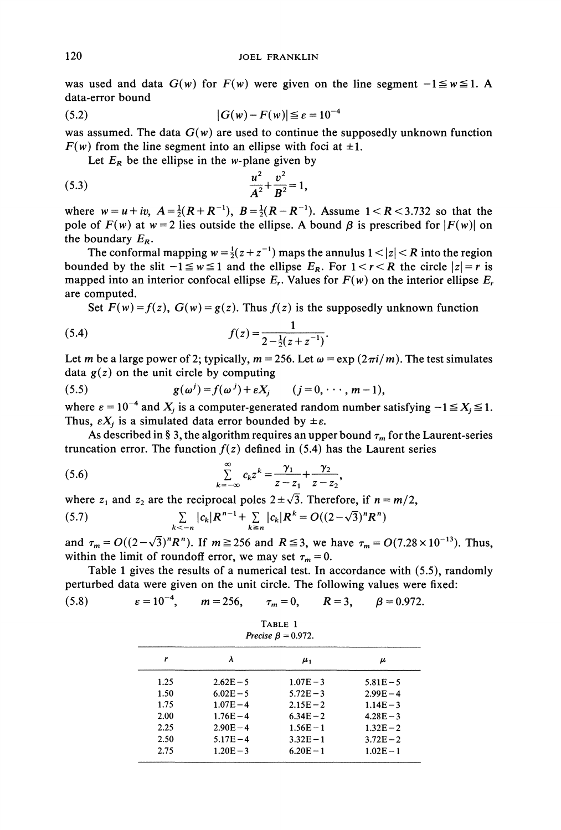was used and data  $G(w)$  for  $F(w)$  were given on the line segment  $-1 \le w \le 1$ . A data-error bound

$$
(5.2) \qquad |G(w) - F(w)| \leq \varepsilon = 10^{-4}
$$

was assumed. The data  $G(w)$  are used to continue the supposedly unknown function  $F(w)$  from the line segment into an ellipse with foci at  $\pm 1$ .

Let  $E_R$  be the ellipse in the w-plane given by

(5.3) 
$$
\frac{u^2}{A^2} + \frac{v^2}{B^2} = 1,
$$

where  $w=u+iv$ ,  $A=\frac{1}{2}(R+R^{-1})$ ,  $B=\frac{1}{2}(R-R^{-1})$ . Assume  $1 < R < 3.732$  so that the pole of  $F(w)$  at  $w=2$  lies outside the ellipse. A bound  $\beta$  is prescribed for  $|F(w)|$  on the boundary  $E_R$ .

The conformal mapping  $w = \frac{1}{2}(z + z^{-1})$  maps the annulus  $1 < |z| < R$  into the region bounded by the slit  $-1 \le w \le 1$  and the ellipse  $E_R$ . For  $1 < r < R$  the circle  $|z| = r$  is mapped into an interior confocal ellipse  $E_r$ . Values for  $F(w)$  on the interior ellipse  $E_r$ are computed.

Set  $F(w) = f(z)$ ,  $G(w) = g(z)$ . Thus  $f(z)$  is the supposedly unknown function

(5.4) 
$$
f(z) = \frac{1}{2 - \frac{1}{2}(z + z^{-1})}.
$$

Let m be a large power of 2; typically,  $m = 256$ . Let  $\omega = \exp(2\pi i/m)$ . The test simulates data  $g(z)$  on the unit circle by computing

(5.5) 
$$
g(\omega^j) = f(\omega^j) + \varepsilon X_j \qquad (j = 0, \cdots, m-1),
$$

where  $\varepsilon = 10^{-4}$  and  $X_i$  is a computer-generated random number satisfying  $-1 \le X_i \le 1$ . Thus,  $\epsilon X_i$  is a simulated data error bounded by  $\pm \epsilon$ .

As described in § 3, the algorithm requires an upper bound  $\tau_m$  for the Laurent-series truncation error. The function  $f(z)$  defined in (5.4) has the Laurent series

(5.6) 
$$
\sum_{k=-\infty}^{\infty} c_k z^k = \frac{\gamma_1}{z - z_1} + \frac{\gamma_2}{z - z_2},
$$

where  $z_1$  and  $z_2$  are the reciprocal poles  $2\pm\sqrt{3}$ . Therefore, if  $n = m/2$ ,

(5.7) 
$$
\sum_{k < -n} |c_k| R^{n-1} + \sum_{k \ge n} |c_k| R^k = O((2 - \sqrt{3})^n R^n)
$$
  
and  $\tau_m = O((2 - \sqrt{3})^n R^n)$ . If  $m \ge 256$  and  $R \le 3$ , we have  $\tau_m = O(7.28 \times 10^{-13})$ . Thus,

within the limit of roundoff error, we may set  $\tau_m = 0$ .

Table <sup>1</sup> gives the results of a numerical test. In accordance with (5.5), randomly perturbed data were given on the unit circle. The following values were fixed:

(5.8)  $\varepsilon = 10^{-4}$ ,  $m = 256$ ,  $\tau_m = 0$ ,  $R = 3$ ,  $\beta = 0.972$ .

| TABLE 1                   |  |  |
|---------------------------|--|--|
| Precise $\beta = 0.972$ . |  |  |

|      | λ           | $\mu_{1}$   | μ           |  |
|------|-------------|-------------|-------------|--|
| 1.25 | $2.62E - 5$ | $1.07E - 3$ | $5.81E - 5$ |  |
| 1.50 | $6.02E - 5$ | $5.72E - 3$ | $2.99E - 4$ |  |
| 1.75 | $1.07E - 4$ | $2.15E - 2$ | $1.14E - 3$ |  |
| 2.00 | $1.76E - 4$ | $6.34E - 2$ | $4.28E - 3$ |  |
| 2.25 | $2.90E - 4$ | $1.56E - 1$ | $1.32E - 2$ |  |
| 2.50 | $5.17E - 4$ | $3.32E - 1$ | $3.72E - 2$ |  |
| 2.75 | $1.20E - 3$ | $6.20E - 1$ | $1.02E - 1$ |  |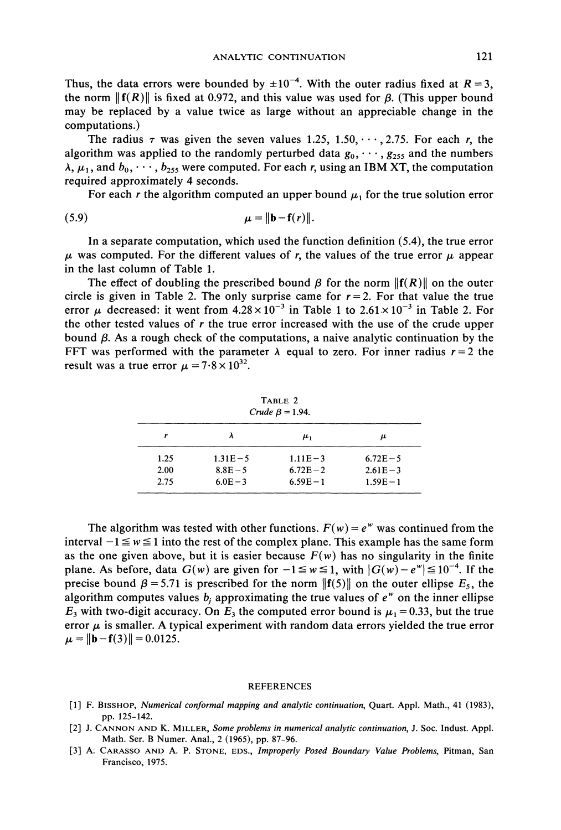Thus, the data errors were bounded by  $\pm 10^{-4}$ . With the outer radius fixed at  $R = 3$ , the norm  $||f(R)||$  is fixed at 0.972, and this value was used for  $\beta$ . (This upper bound may be replaced by a value twice as large without an appreciable change in the computations.)

The radius  $\tau$  was given the seven values 1.25, 1.50,  $\cdots$ , 2.75. For each r, the algorithm was applied to the randomly perturbed data  $g_0, \dots, g_{255}$  and the numbers  $\lambda, \mu_1$ , and  $b_0, \dots, b_{255}$  were computed. For each r, using an IBM XT, the computation required approximately 4 seconds.

For each r the algorithm computed an upper bound  $\mu_1$  for the true solution error

$$
\mu = \|\mathbf{b} - \mathbf{f}(r)\|.
$$

In a separate computation, which used the function definition (5.4), the true error  $\mu$  was computed. For the different values of r, the values of the true error  $\mu$  appear in the last column of Table 1.

The effect of doubling the prescribed bound  $\beta$  for the norm  $||f(R)||$  on the outer circle is given in Table 2. The only surprise came for  $r = 2$ . For that value the true error  $\mu$  decreased: it went from  $4.28 \times 10^{-3}$  in Table 1 to  $2.61 \times 10^{-3}$  in Table 2. For the other tested values of  $r$  the true error increased with the use of the crude upper bound  $\beta$ . As a rough check of the computations, a naive analytic continuation by the FFT was performed with the parameter  $\lambda$  equal to zero. For inner radius  $r = 2$  the result was a true error  $\mu = 7.8 \times 10^{32}$ .

| TABLE 2               |  |  |
|-----------------------|--|--|
| Crude $\beta$ = 1.94. |  |  |

|      |             | $\mu_{1}$   | μ           |
|------|-------------|-------------|-------------|
| 1.25 | $1.31E - 5$ | $1.11E - 3$ | $6.72E - 5$ |
| 2.00 | $8.8E - 5$  | $6.72E - 2$ | $2.61E - 3$ |
| 2.75 | $6.0E - 3$  | $6.59E - 1$ | $1.59E - 1$ |

The algorithm was tested with other functions.  $F(w) = e^w$  was continued from the interval  $-1 \le w \le 1$  into the rest of the complex plane. This example has the same form as the one given above, but it is easier because  $F(w)$  has no singularity in the finite plane. As before, data  $G(w)$  are given for  $-1 \le w \le 1$ , with  $|G(w)-e^w| \le 10^{-4}$ . If the precise bound  $\beta = 5.71$  is prescribed for the norm  $\|f(5)\|$  on the outer ellipse  $E_5$ , the algorithm computes values  $b_i$  approximating the true values of  $e^w$  on the inner ellipse  $E_3$  with two-digit accuracy. On  $E_3$  the computed error bound is  $\mu_1 = 0.33$ , but the true error  $\mu$  is smaller. A typical experiment with random data errors yielded the true error  $\mu = ||\mathbf{b} - \mathbf{f}(3)|| = 0.0125.$ 

#### REFERENCES

- [1] F. BISSHOP, Numerical conformal mapping and analytic continuation, Quart. Appl. Math., 41 (1983), pp. 125-142.
- [2] J. CANNON AND K. MILLER, Some problems in numerical analytic continuation, J. Soc. Indust. Appl. Math. Ser. B Numer. Anal., 2 (1965), pp. 87-96.
- [3] A: CARASSO AND A. P. STONE, EDS., Improperly Posed Boundary Value Problems, Pitman, San Francisco, 1975.